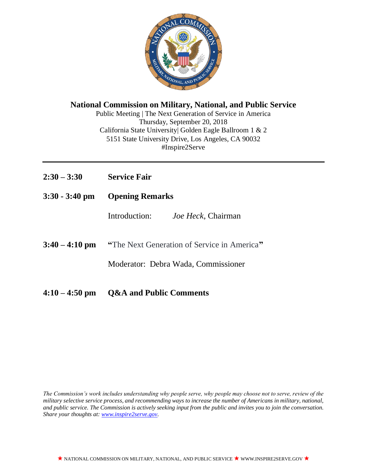

**National Commission on Military, National, and Public Service** Public Meeting | The Next Generation of Service in America Thursday, September 20, 2018 California State University| Golden Eagle Ballroom 1 & 2 5151 State University Drive, Los Angeles, CA 90032

#Inspire2Serve

- **2:30 – 3:30 Service Fair**
- **3:30 - 3:40 pm Opening Remarks**

Introduction: *Joe Heck*, Chairman

**3:40 – 4:10 pm "**The Next Generation of Service in America**"**

Moderator: Debra Wada*,* Commissioner

**4:10 – 4:50 pm Q&A and Public Comments**

*The Commission's work includes understanding why people serve, why people may choose not to serve, review of the military selective service process, and recommending ways to increase the number of Americans in military, national, and public service. The Commission is actively seeking input from the public and invites you to join the conversation. Share your thoughts at: [www.inspire2serve.gov.](http://www.inspire2serve.gov/)*